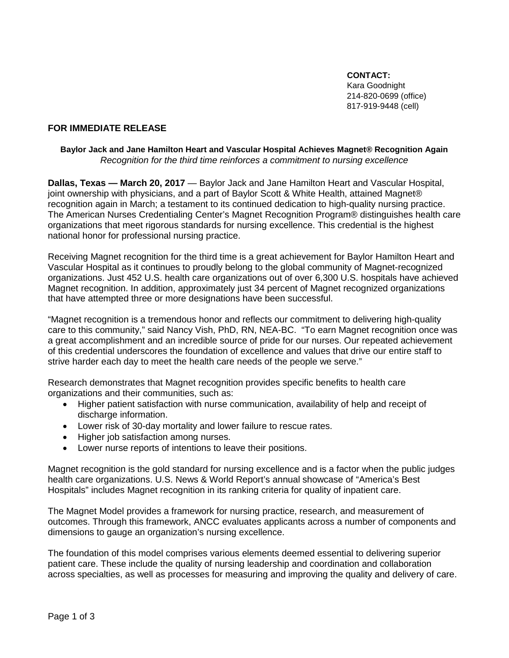**CONTACT:** Kara Goodnight 214-820-0699 (office) 817-919-9448 (cell)

# **FOR IMMEDIATE RELEASE**

#### **Baylor Jack and Jane Hamilton Heart and Vascular Hospital Achieves Magnet® Recognition Again** *Recognition for the third time reinforces a commitment to nursing excellence*

**Dallas, Texas — March 20, 2017** — Baylor Jack and Jane Hamilton Heart and Vascular Hospital, joint ownership with physicians, and a part of Baylor Scott & White Health, attained Magnet® recognition again in March; a testament to its continued dedication to high-quality nursing practice. The American Nurses Credentialing Center's Magnet Recognition Program® distinguishes health care organizations that meet rigorous standards for nursing excellence. This credential is the highest national honor for professional nursing practice.

Receiving Magnet recognition for the third time is a great achievement for Baylor Hamilton Heart and Vascular Hospital as it continues to proudly belong to the global community of Magnet-recognized organizations. Just 452 U.S. health care organizations out of over 6,300 U.S. hospitals have achieved Magnet recognition. In addition, approximately just 34 percent of Magnet recognized organizations that have attempted three or more designations have been successful.

"Magnet recognition is a tremendous honor and reflects our commitment to delivering high-quality care to this community," said Nancy Vish, PhD, RN, NEA-BC. "To earn Magnet recognition once was a great accomplishment and an incredible source of pride for our nurses. Our repeated achievement of this credential underscores the foundation of excellence and values that drive our entire staff to strive harder each day to meet the health care needs of the people we serve."

Research demonstrates that Magnet recognition provides specific benefits to health care organizations and their communities, such as:

- Higher patient satisfaction with nurse communication, availability of help and receipt of discharge information.
- Lower risk of 30-day mortality and lower failure to rescue rates.
- Higher job satisfaction among nurses.
- Lower nurse reports of intentions to leave their positions.

Magnet recognition is the gold standard for nursing excellence and is a factor when the public judges health care organizations. U.S. News & World Report's annual showcase of "America's Best Hospitals" includes Magnet recognition in its ranking criteria for quality of inpatient care.

The Magnet Model provides a framework for nursing practice, research, and measurement of outcomes. Through this framework, ANCC evaluates applicants across a number of components and dimensions to gauge an organization's nursing excellence.

The foundation of this model comprises various elements deemed essential to delivering superior patient care. These include the quality of nursing leadership and coordination and collaboration across specialties, as well as processes for measuring and improving the quality and delivery of care.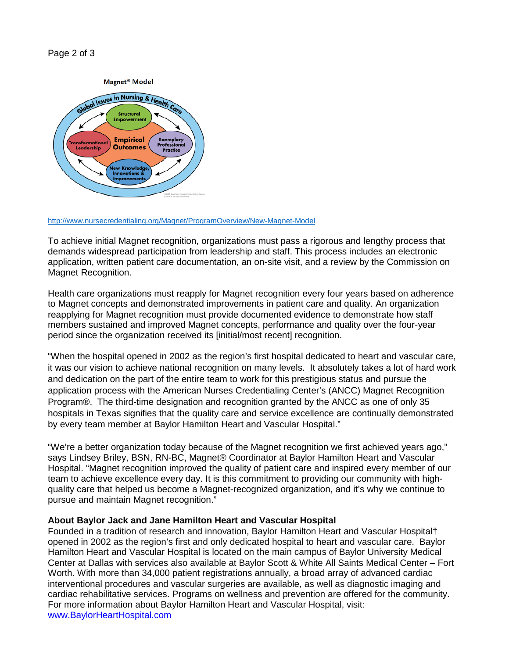## Page 2 of 3



#### <http://www.nursecredentialing.org/Magnet/ProgramOverview/New-Magnet-Model>

To achieve initial Magnet recognition, organizations must pass a rigorous and lengthy process that demands widespread participation from leadership and staff. This process includes an electronic application, written patient care documentation, an on-site visit, and a review by the Commission on Magnet Recognition.

Health care organizations must reapply for Magnet recognition every four years based on adherence to Magnet concepts and demonstrated improvements in patient care and quality. An organization reapplying for Magnet recognition must provide documented evidence to demonstrate how staff members sustained and improved Magnet concepts, performance and quality over the four-year period since the organization received its [initial/most recent] recognition.

"When the hospital opened in 2002 as the region's first hospital dedicated to heart and vascular care, it was our vision to achieve national recognition on many levels. It absolutely takes a lot of hard work and dedication on the part of the entire team to work for this prestigious status and pursue the application process with the American Nurses Credentialing Center's (ANCC) Magnet Recognition Program®. The third-time designation and recognition granted by the ANCC as one of only 35 hospitals in Texas signifies that the quality care and service excellence are continually demonstrated by every team member at Baylor Hamilton Heart and Vascular Hospital."

"We're a better organization today because of the Magnet recognition we first achieved years ago," says Lindsey Briley, BSN, RN-BC, Magnet® Coordinator at Baylor Hamilton Heart and Vascular Hospital. "Magnet recognition improved the quality of patient care and inspired every member of our team to achieve excellence every day. It is this commitment to providing our community with highquality care that helped us become a Magnet-recognized organization, and it's why we continue to pursue and maintain Magnet recognition."

## **About Baylor Jack and Jane Hamilton Heart and Vascular Hospital**

Founded in a tradition of research and innovation, Baylor Hamilton Heart and Vascular Hospital† opened in 2002 as the region's first and only dedicated hospital to heart and vascular care. Baylor Hamilton Heart and Vascular Hospital is located on the main campus of Baylor University Medical Center at Dallas with services also available at Baylor Scott & White All Saints Medical Center – Fort Worth. With more than 34,000 patient registrations annually, a broad array of advanced cardiac interventional procedures and vascular surgeries are available, as well as diagnostic imaging and cardiac rehabilitative services. Programs on wellness and prevention are offered for the community. For more information about Baylor Hamilton Heart and Vascular Hospital, visit: www.BaylorHeartHospital.com